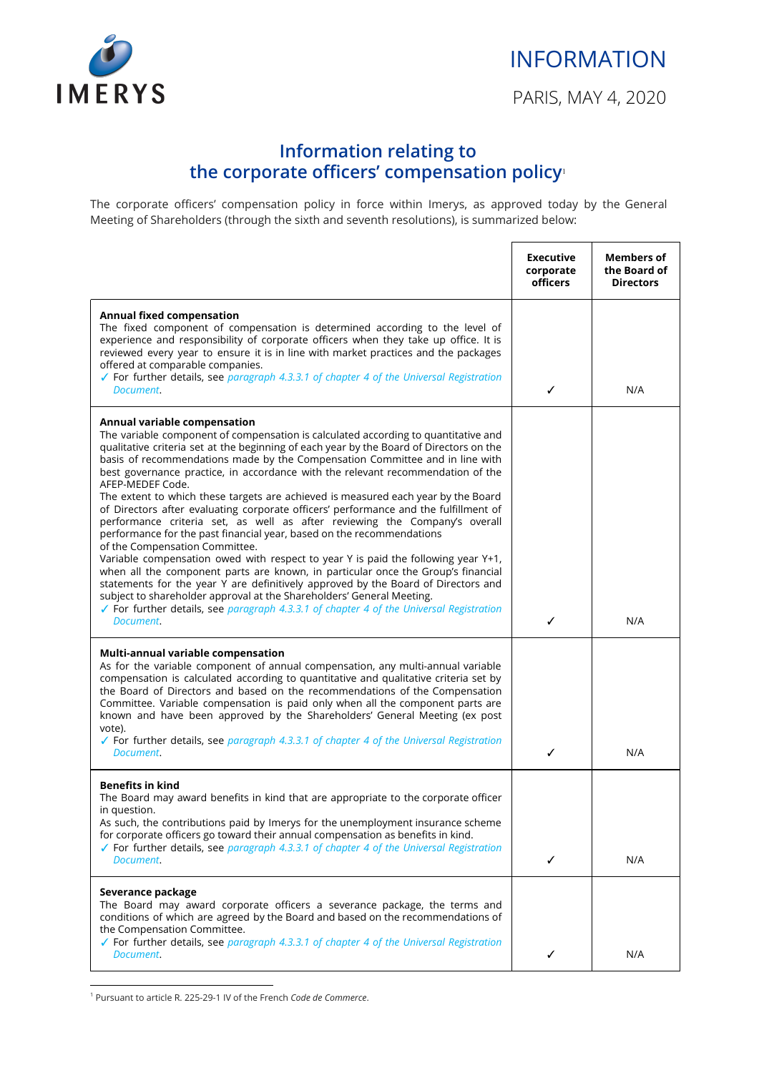

Г

## **Information relating to the corporate officers' compensation policy**<sup>1</sup>

The corporate officers' compensation policy in force within Imerys, as approved today by the General Meeting of Shareholders (through the sixth and seventh resolutions), is summarized below:

|                                                                                                                                                                                                                                                                                                                                                                                                                                                                                                                                                                                                                                                                                                                                                                                                                                                                                                                                                                                                                                                                                                                                                                                                                           | <b>Executive</b><br>corporate<br><b>officers</b> | <b>Members of</b><br>the Board of<br><b>Directors</b> |
|---------------------------------------------------------------------------------------------------------------------------------------------------------------------------------------------------------------------------------------------------------------------------------------------------------------------------------------------------------------------------------------------------------------------------------------------------------------------------------------------------------------------------------------------------------------------------------------------------------------------------------------------------------------------------------------------------------------------------------------------------------------------------------------------------------------------------------------------------------------------------------------------------------------------------------------------------------------------------------------------------------------------------------------------------------------------------------------------------------------------------------------------------------------------------------------------------------------------------|--------------------------------------------------|-------------------------------------------------------|
| <b>Annual fixed compensation</b><br>The fixed component of compensation is determined according to the level of<br>experience and responsibility of corporate officers when they take up office. It is<br>reviewed every year to ensure it is in line with market practices and the packages<br>offered at comparable companies.<br>√ For further details, see paragraph 4.3.3.1 of chapter 4 of the Universal Registration<br>Document.                                                                                                                                                                                                                                                                                                                                                                                                                                                                                                                                                                                                                                                                                                                                                                                  | ✓                                                | N/A                                                   |
| Annual variable compensation<br>The variable component of compensation is calculated according to quantitative and<br>qualitative criteria set at the beginning of each year by the Board of Directors on the<br>basis of recommendations made by the Compensation Committee and in line with<br>best governance practice, in accordance with the relevant recommendation of the<br>AFEP-MEDEF Code.<br>The extent to which these targets are achieved is measured each year by the Board<br>of Directors after evaluating corporate officers' performance and the fulfillment of<br>performance criteria set, as well as after reviewing the Company's overall<br>performance for the past financial year, based on the recommendations<br>of the Compensation Committee.<br>Variable compensation owed with respect to year Y is paid the following year Y+1,<br>when all the component parts are known, in particular once the Group's financial<br>statements for the year Y are definitively approved by the Board of Directors and<br>subject to shareholder approval at the Shareholders' General Meeting.<br>√ For further details, see paragraph 4.3.3.1 of chapter 4 of the Universal Registration<br>Document. | ✓                                                | N/A                                                   |
| Multi-annual variable compensation<br>As for the variable component of annual compensation, any multi-annual variable<br>compensation is calculated according to quantitative and qualitative criteria set by<br>the Board of Directors and based on the recommendations of the Compensation<br>Committee. Variable compensation is paid only when all the component parts are<br>known and have been approved by the Shareholders' General Meeting (ex post<br>vote).<br>√ For further details, see paragraph 4.3.3.1 of chapter 4 of the Universal Registration<br>Document.                                                                                                                                                                                                                                                                                                                                                                                                                                                                                                                                                                                                                                            | ✓                                                | N/A                                                   |
| <b>Benefits in kind</b><br>The Board may award benefits in kind that are appropriate to the corporate officer<br>in question.<br>As such, the contributions paid by Imerys for the unemployment insurance scheme<br>for corporate officers go toward their annual compensation as benefits in kind.<br>$\checkmark$ For further details, see paragraph 4.3.3.1 of chapter 4 of the Universal Registration<br>Document.                                                                                                                                                                                                                                                                                                                                                                                                                                                                                                                                                                                                                                                                                                                                                                                                    | ✓                                                | N/A                                                   |
| Severance package<br>The Board may award corporate officers a severance package, the terms and<br>conditions of which are agreed by the Board and based on the recommendations of<br>the Compensation Committee.<br>✔ For further details, see paragraph 4.3.3.1 of chapter 4 of the Universal Registration<br>Document.                                                                                                                                                                                                                                                                                                                                                                                                                                                                                                                                                                                                                                                                                                                                                                                                                                                                                                  | ✓                                                | N/A                                                   |

<sup>1</sup> Pursuant to article R. 225-29-1 IV of the French *Code de Commerce*.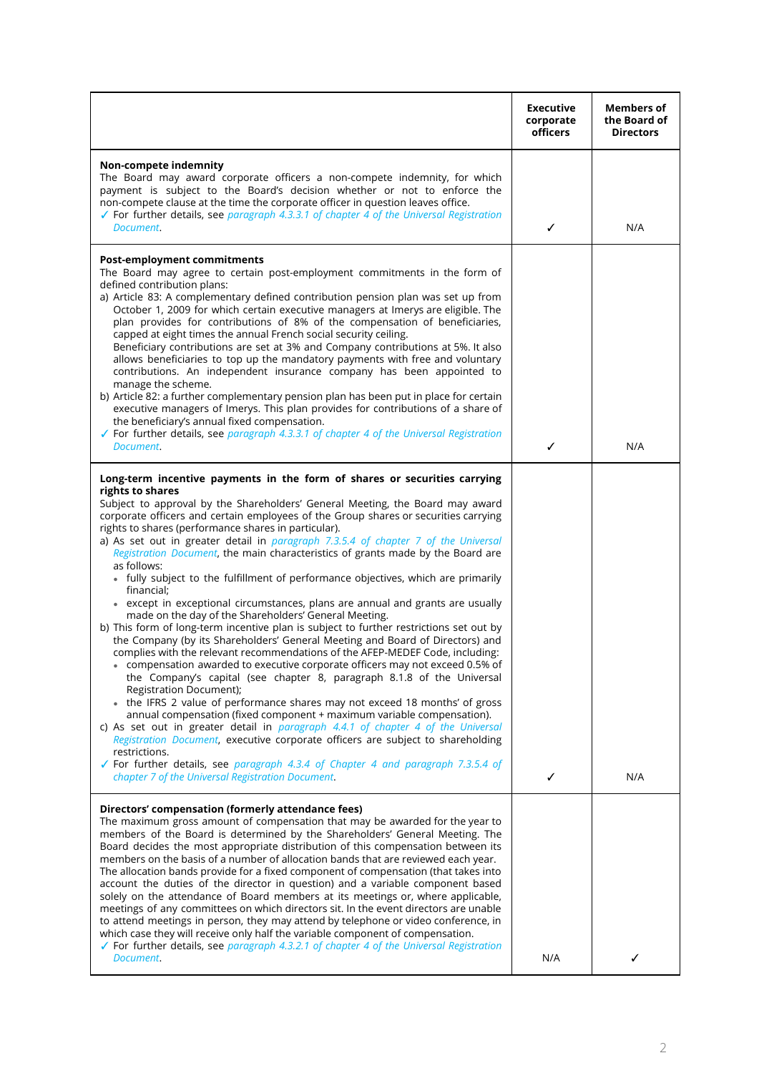|                                                                                                                                                                                                                                                                                                                                                                                                                                                                                                                                                                                                                                                                                                                                                                                                                                                                                                                                                                                                                                                                                                                                                                                                                                                                                                                                                                                                                                                                                                                                                                                                                                                        | <b>Executive</b><br>corporate<br>officers | <b>Members of</b><br>the Board of<br><b>Directors</b> |
|--------------------------------------------------------------------------------------------------------------------------------------------------------------------------------------------------------------------------------------------------------------------------------------------------------------------------------------------------------------------------------------------------------------------------------------------------------------------------------------------------------------------------------------------------------------------------------------------------------------------------------------------------------------------------------------------------------------------------------------------------------------------------------------------------------------------------------------------------------------------------------------------------------------------------------------------------------------------------------------------------------------------------------------------------------------------------------------------------------------------------------------------------------------------------------------------------------------------------------------------------------------------------------------------------------------------------------------------------------------------------------------------------------------------------------------------------------------------------------------------------------------------------------------------------------------------------------------------------------------------------------------------------------|-------------------------------------------|-------------------------------------------------------|
| Non-compete indemnity<br>The Board may award corporate officers a non-compete indemnity, for which<br>payment is subject to the Board's decision whether or not to enforce the<br>non-compete clause at the time the corporate officer in question leaves office.<br>$\checkmark$ For further details, see paragraph 4.3.3.1 of chapter 4 of the Universal Registration<br>Document.                                                                                                                                                                                                                                                                                                                                                                                                                                                                                                                                                                                                                                                                                                                                                                                                                                                                                                                                                                                                                                                                                                                                                                                                                                                                   | ✓                                         | N/A                                                   |
| <b>Post-employment commitments</b><br>The Board may agree to certain post-employment commitments in the form of<br>defined contribution plans:<br>a) Article 83: A complementary defined contribution pension plan was set up from<br>October 1, 2009 for which certain executive managers at Imerys are eligible. The<br>plan provides for contributions of 8% of the compensation of beneficiaries,<br>capped at eight times the annual French social security ceiling.<br>Beneficiary contributions are set at 3% and Company contributions at 5%. It also<br>allows beneficiaries to top up the mandatory payments with free and voluntary<br>contributions. An independent insurance company has been appointed to<br>manage the scheme.<br>b) Article 82: a further complementary pension plan has been put in place for certain<br>executive managers of Imerys. This plan provides for contributions of a share of<br>the beneficiary's annual fixed compensation.                                                                                                                                                                                                                                                                                                                                                                                                                                                                                                                                                                                                                                                                             |                                           |                                                       |
| ✔ For further details, see paragraph 4.3.3.1 of chapter 4 of the Universal Registration<br>Document.                                                                                                                                                                                                                                                                                                                                                                                                                                                                                                                                                                                                                                                                                                                                                                                                                                                                                                                                                                                                                                                                                                                                                                                                                                                                                                                                                                                                                                                                                                                                                   | ✓                                         | N/A                                                   |
| Long-term incentive payments in the form of shares or securities carrying<br>rights to shares<br>Subject to approval by the Shareholders' General Meeting, the Board may award<br>corporate officers and certain employees of the Group shares or securities carrying<br>rights to shares (performance shares in particular).<br>a) As set out in greater detail in paragraph 7.3.5.4 of chapter 7 of the Universal<br>Registration Document, the main characteristics of grants made by the Board are<br>as follows:<br>• fully subject to the fulfillment of performance objectives, which are primarily<br>financial:<br>• except in exceptional circumstances, plans are annual and grants are usually<br>made on the day of the Shareholders' General Meeting.<br>b) This form of long-term incentive plan is subject to further restrictions set out by<br>the Company (by its Shareholders' General Meeting and Board of Directors) and<br>complies with the relevant recommendations of the AFEP-MEDEF Code, including:<br>compensation awarded to executive corporate officers may not exceed 0.5% of<br>the Company's capital (see chapter 8, paragraph 8.1.8 of the Universal<br>Registration Document);<br>the IFRS 2 value of performance shares may not exceed 18 months' of gross<br>annual compensation (fixed component + maximum variable compensation).<br>c) As set out in greater detail in paragraph 4.4.1 of chapter 4 of the Universal<br>Registration Document, executive corporate officers are subject to shareholding<br>restrictions.<br>√ For further details, see paragraph 4.3.4 of Chapter 4 and paragraph 7.3.5.4 of |                                           |                                                       |
| chapter 7 of the Universal Registration Document.                                                                                                                                                                                                                                                                                                                                                                                                                                                                                                                                                                                                                                                                                                                                                                                                                                                                                                                                                                                                                                                                                                                                                                                                                                                                                                                                                                                                                                                                                                                                                                                                      | ✓                                         | N/A                                                   |
| Directors' compensation (formerly attendance fees)<br>The maximum gross amount of compensation that may be awarded for the year to<br>members of the Board is determined by the Shareholders' General Meeting. The<br>Board decides the most appropriate distribution of this compensation between its<br>members on the basis of a number of allocation bands that are reviewed each year.<br>The allocation bands provide for a fixed component of compensation (that takes into<br>account the duties of the director in question) and a variable component based<br>solely on the attendance of Board members at its meetings or, where applicable,<br>meetings of any committees on which directors sit. In the event directors are unable<br>to attend meetings in person, they may attend by telephone or video conference, in<br>which case they will receive only half the variable component of compensation.<br>✔ For further details, see paragraph 4.3.2.1 of chapter 4 of the Universal Registration<br>Document.                                                                                                                                                                                                                                                                                                                                                                                                                                                                                                                                                                                                                        | N/A                                       | ✓                                                     |